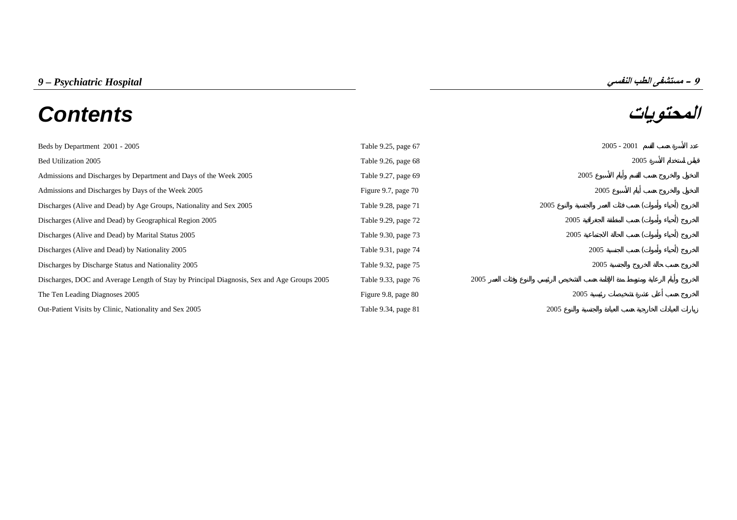# **المحتويات** *Contents*

| Beds by Department 2001 - 2005                                                             | Table 9.25, page 67 |      |      | $2005 - 2001$ |      |  |
|--------------------------------------------------------------------------------------------|---------------------|------|------|---------------|------|--|
| Bed Utilization 2005                                                                       | Table 9.26, page 68 |      |      |               | 2005 |  |
| Admissions and Discharges by Department and Days of the Week 2005                          | Table 9.27, page 69 |      |      | 2005          |      |  |
| Admissions and Discharges by Days of the Week 2005                                         | Figure 9.7, page 70 |      |      | 2005          |      |  |
| Discharges (Alive and Dead) by Age Groups, Nationality and Sex 2005                        | Table 9.28, page 71 |      | 2005 |               |      |  |
| Discharges (Alive and Dead) by Geographical Region 2005                                    | Table 9.29, page 72 |      | 2005 |               |      |  |
| Discharges (Alive and Dead) by Marital Status 2005                                         | Table 9.30, page 73 |      | 2005 |               |      |  |
| Discharges (Alive and Dead) by Nationality 2005                                            | Table 9.31, page 74 |      |      | 2005          |      |  |
| Discharges by Discharge Status and Nationality 2005                                        | Table 9.32, page 75 |      |      | 2005          |      |  |
| Discharges, DOC and Average Length of Stay by Principal Diagnosis, Sex and Age Groups 2005 | Table 9.33, page 76 | 2005 |      |               |      |  |
| The Ten Leading Diagnoses 2005                                                             | Figure 9.8, page 80 |      | 2005 |               |      |  |
| Out-Patient Visits by Clinic, Nationality and Sex 2005                                     | Table 9.34, page 81 |      | 2005 |               |      |  |

**9**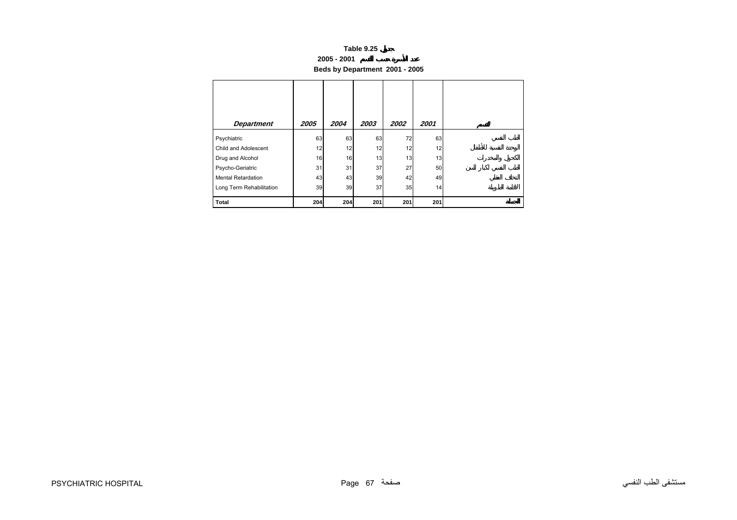#### **2005 - 2001**

**Beds by Department 2001 - 2005**

<span id="page-1-0"></span>

| <b>Department</b>         | 2005 | 2004 | 2003 | 2002 | 2001 |
|---------------------------|------|------|------|------|------|
| Psychiatric               | 63   | 63   | 63   | 72   | 63   |
| Child and Adolescent      | 12   | 12   | 12   | 12   | 12   |
| Drug and Alcohol          | 16   | 16   | 13   | 13   | 13   |
| Psycho-Geriatric          | 31   | 31   | 37   | 27   | 50   |
| <b>Mental Retardation</b> | 43   | 43   | 39   | 42   | 49   |
| Long Term Rehabilitation  | 39   | 39   | 37   | 35   | 14   |
| <b>Total</b>              | 204  | 204  | 201  | 201  | 201  |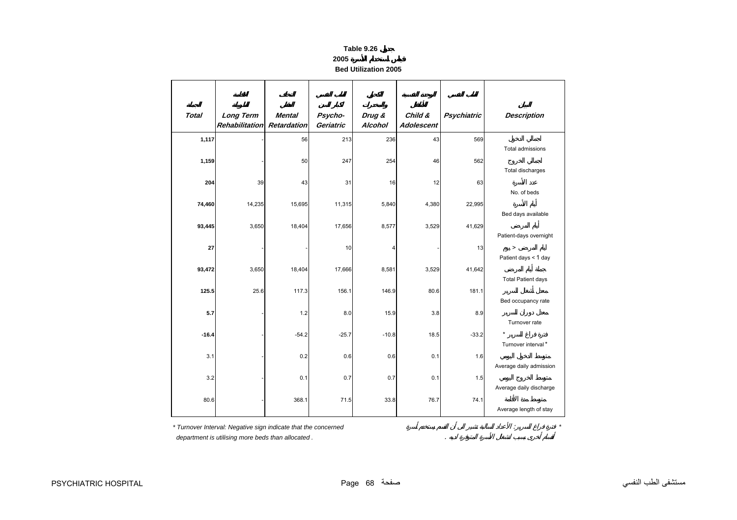#### **2005**

**Bed Utilization 2005**

<span id="page-2-0"></span>

| <b>Total</b> | <b>Long Term</b><br><b>Rehabilitation</b> | <b>Mental</b><br>Retardation | Psycho-<br>Geriatric | Drug &<br>Alcohol | Child &<br><b>Adolescent</b> | <b>Psychiatric</b> | <b>Description</b>                   |
|--------------|-------------------------------------------|------------------------------|----------------------|-------------------|------------------------------|--------------------|--------------------------------------|
| 1,117        |                                           | 56                           | 213                  | 236               | 43                           | 569                |                                      |
| 1,159        |                                           | 50                           | 247                  | 254               | 46                           | 562                | Total admissions<br>Total discharges |
| 204          | 39                                        | 43                           | 31                   | 16                | 12                           | 63                 |                                      |
|              |                                           |                              |                      |                   |                              |                    | No. of beds                          |
| 74,460       | 14,235                                    | 15,695                       | 11,315               | 5,840             | 4,380                        | 22,995             | Bed days available                   |
| 93,445       | 3,650                                     | 18,404                       | 17,656               | 8,577             | 3,529                        | 41,629             |                                      |
|              |                                           |                              |                      |                   |                              |                    | Patient-days overnight               |
| 27           |                                           |                              | 10                   | 4                 |                              | 13                 | $\geq$                               |
|              |                                           |                              |                      |                   |                              |                    | Patient days < 1 day                 |
| 93,472       | 3,650                                     | 18,404                       | 17,666               | 8,581             | 3,529                        | 41,642             |                                      |
|              |                                           |                              |                      |                   |                              |                    | <b>Total Patient days</b>            |
| 125.5        | 25.6                                      | 117.3                        | 156.1                | 146.9             | 80.6                         | 181.1              | Bed occupancy rate                   |
| 5.7          |                                           | 1.2                          | 8.0                  | 15.9              | 3.8                          | 8.9                |                                      |
|              |                                           |                              |                      |                   |                              |                    | Turnover rate                        |
| $-16.4$      |                                           | $-54.2$                      | $-25.7$              | $-10.8$           | 18.5                         | $-33.2$            |                                      |
|              |                                           |                              |                      |                   |                              |                    | Turnover interval*                   |
| 3.1          |                                           | 0.2                          | 0.6                  | 0.6               | 0.1                          | 1.6                |                                      |
| 3.2          |                                           | 0.1                          | 0.7                  | 0.7               |                              | 1.5                | Average daily admission              |
|              |                                           |                              |                      |                   | 0.1                          |                    | Average daily discharge              |
| 80.6         |                                           | 368.1                        | 71.5                 | 33.8              | 76.7                         | 74.1               |                                      |
|              |                                           |                              |                      |                   |                              |                    | Average length of stay               |

*\* Turnover Interval: Negative sign indicate that the concerned* : *\**

 *department is utilising more beds than allocated .* .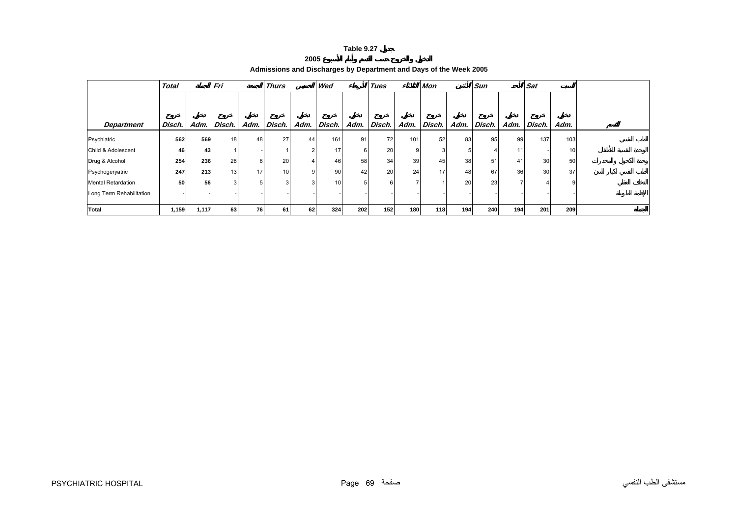#### **2005**

**Admissions and Discharges by Department and Days of the Week 2005**

<span id="page-3-0"></span>

|                           | Fri<br><b>Total</b> |       | <b>Thurs</b><br>Wed |      |        | Tues   |        | Mon  |           |      |        | <b>Sun</b>      |        |      |        |      |  |
|---------------------------|---------------------|-------|---------------------|------|--------|--------|--------|------|-----------|------|--------|-----------------|--------|------|--------|------|--|
|                           |                     |       |                     |      |        |        |        |      |           |      |        |                 |        |      |        |      |  |
| <b>Department</b>         | Disch.              | Adm.  | Disch.              | Adm. | Disch. | Adm.   | Disch. | Adm. | Disch.    | Adm. | Disch. | Adm.            | Disch. | Adm. | Disch. | Adm. |  |
| Psychiatric               | 562                 | 569   | 18                  | 48   | 27     | 44     | 161    | 91   | <b>72</b> | 101  | 52     | 83              | 95     | 99   | 137    | 103  |  |
| Child & Adolescent        | 46                  | 43    |                     |      |        | $\sim$ | 17     | 6    | 20        |      |        |                 |        | 11   |        | 10   |  |
| Drug & Alcohol            | 254                 | 236   | 28                  |      | 20     |        | 46     | 58   | 34        | 39   | 45     | 38 <sup>l</sup> | 51     | 41   | 30     | 50   |  |
| Psychogeryatric           | 247                 | 213   | 13 <sup>1</sup>     | 17   | 10     | 9      | 90     | 42   | 20        | 24   | 17     | 48              | 67     | 36   | 30     | 37   |  |
| <b>Mental Retardation</b> | 50                  | 56    | 3 <sup>1</sup>      |      |        |        | 10     |      |           |      |        | <b>20</b>       | 23     |      |        |      |  |
| Long Term Rehabilitation  |                     |       |                     |      |        |        |        |      |           |      |        |                 |        |      |        |      |  |
| <b>Total</b>              | 1,159               | 1,117 | 63                  | 76   | 61     | 62     | 324    | 202  | 152       | 180  | 118    | 194             | 240    | 194  | 201    | 209  |  |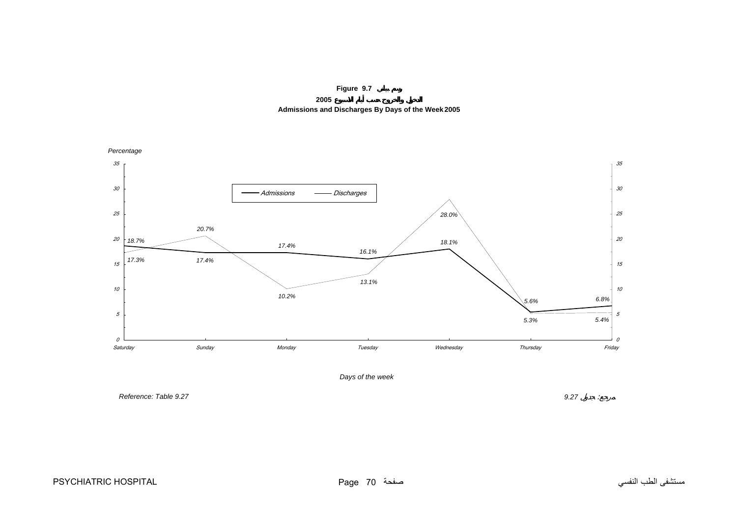

**2005Admissions and Discharges By Days of the Week 2005**

<span id="page-4-0"></span>

*Reference: Table 9.27*

*9.27* :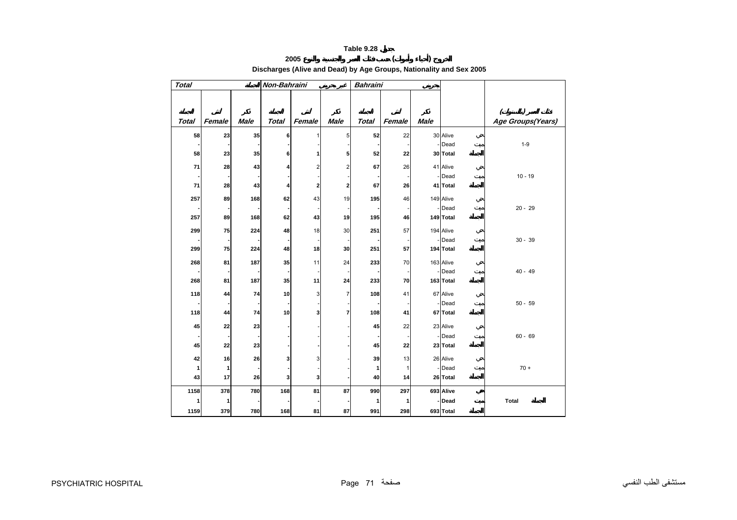# **2005 ( ) Discharges (Alive and Dead) by Age Groups, Nationality and Sex 2005**

<span id="page-5-0"></span>

| <b>Total</b> |        |             | Non-Bahraini |                |                | <b>Bahraini</b> |              |             |                  |                   |
|--------------|--------|-------------|--------------|----------------|----------------|-----------------|--------------|-------------|------------------|-------------------|
|              |        |             |              |                |                |                 |              |             |                  |                   |
|              |        |             |              |                |                |                 |              |             |                  |                   |
|              |        |             |              |                |                |                 |              |             |                  | (                 |
| <b>Total</b> | Female | <b>Male</b> | <b>Total</b> | Female         | <b>Male</b>    | Total           | Female       | <b>Male</b> |                  | Age Groups(Years) |
| 58           | 23     | 35          | 6            | $\mathbf{1}$   | 5              | 52              | 22           |             | 30 Alive         |                   |
|              |        |             |              |                |                |                 |              |             | Dead             | $1 - 9$           |
| 58           | 23     | 35          | 6            | 1              | 5              | 52              | 22           |             | 30 Total         |                   |
| 71           | 28     | 43          |              | $\overline{2}$ | $\overline{2}$ | 67              | 26           |             | 41 Alive         |                   |
|              |        |             |              |                |                |                 |              |             | Dead             | $10 - 19$         |
| 71           | 28     | 43          | 4            | 2              | $\overline{2}$ | 67              | 26           |             | 41 Total         |                   |
|              |        |             |              |                |                |                 |              |             |                  |                   |
| 257          | 89     | 168         | 62           | 43             | 19             | 195             | 46           |             | 149 Alive        |                   |
|              |        |             |              |                |                |                 |              |             | Dead             | $20 - 29$         |
| 257          | 89     | 168         | 62           | 43             | 19             | 195             | 46           |             | 149 Total        |                   |
| 299          | 75     | 224         | 48           | 18             | 30             | 251             | 57           |             | 194 Alive        |                   |
|              |        |             |              |                |                |                 |              |             | Dead             | $30 - 39$         |
| 299          | 75     | 224         | 48           | 18             | 30             | 251             | 57           |             | 194 Total        |                   |
| 268          | 81     | 187         | 35           | 11             | 24             | 233             | 70           |             | 163 Alive        |                   |
|              |        |             |              |                |                |                 |              |             | Dead             | $40 - 49$         |
| 268          | 81     | 187         | 35           | 11             | 24             | 233             | 70           |             | 163 Total        |                   |
| 118          | 44     | 74          | 10           | 3              | $\overline{7}$ | 108             | 41           |             | 67 Alive         |                   |
|              |        |             |              |                |                |                 |              |             | Dead             | $50 - 59$         |
| 118          | 44     | 74          | 10           | 3              | 7              | 108             | 41           |             | 67 Total         |                   |
|              |        |             |              |                |                |                 | 22           |             |                  |                   |
| 45           | 22     | 23          |              |                |                | 45              |              |             | 23 Alive         | $60 - 69$         |
| 45           | 22     | 23          |              |                |                | 45              | 22           |             | Dead<br>23 Total |                   |
|              |        |             |              |                |                |                 |              |             |                  |                   |
| 42           | 16     | 26          | 3            | 3              |                | 39              | 13           |             | 26 Alive         |                   |
| 1            | 1      |             |              |                |                | 1               | $\mathbf{1}$ |             | Dead             | $70 +$            |
| 43           | 17     | 26          | 3            | 3              |                | 40              | 14           |             | 26 Total         |                   |
| 1158         | 378    | 780         | 168          | 81             | 87             | 990             | 297          |             | 693 Alive        |                   |
| 1            | 1      |             |              |                |                | 1               | 1            |             | Dead             | <b>Total</b>      |
| 1159         | 379    | 780         | 168          | 81             | 87             | 991             | 298          |             | 693 Total        |                   |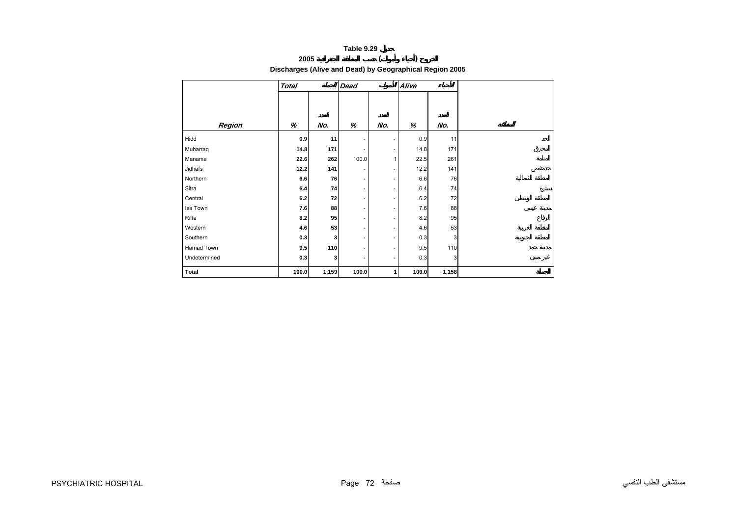# **2005 ( ) Discharges (Alive and Dead) by Geographical Region 2005**

<span id="page-6-0"></span>

|              | <b>Total</b> |       | <b>Dead</b>              |                          | Alive |       |  |
|--------------|--------------|-------|--------------------------|--------------------------|-------|-------|--|
|              |              |       |                          |                          |       |       |  |
|              |              |       |                          |                          |       |       |  |
| Region       | $\%$         | No.   | %                        | No.                      | %     | No.   |  |
| Hidd         | 0.9          | 11    | $\overline{\phantom{a}}$ | $\overline{\phantom{a}}$ | 0.9   | 11    |  |
| Muharraq     | 14.8         | 171   | $\overline{\phantom{a}}$ | $\overline{\phantom{a}}$ | 14.8  | 171   |  |
| Manama       | 22.6         | 262   | 100.0                    | 1                        | 22.5  | 261   |  |
| Jidhafs      | 12.2         | 141   | $\overline{\phantom{a}}$ |                          | 12.2  | 141   |  |
| Northern     | 6.6          | 76    | $\overline{\phantom{a}}$ | $\overline{\phantom{a}}$ | 6.6   | 76    |  |
| Sitra        | 6.4          | 74    | $\overline{\phantom{a}}$ | $\overline{\phantom{a}}$ | 6.4   | 74    |  |
| Central      | 6.2          | 72    | $\overline{\phantom{a}}$ | $\overline{\phantom{a}}$ | 6.2   | 72    |  |
| Isa Town     | 7.6          | 88    | $\overline{\phantom{a}}$ | $\overline{\phantom{a}}$ | 7.6   | 88    |  |
| Riffa        | 8.2          | 95    | $\overline{\phantom{a}}$ | $\overline{\phantom{a}}$ | 8.2   | 95    |  |
| Western      | 4.6          | 53    | $\overline{\phantom{a}}$ | $\overline{\phantom{a}}$ | 4.6   | 53    |  |
| Southern     | 0.3          | 3     | $\overline{\phantom{a}}$ | $\overline{\phantom{a}}$ | 0.3   | 3     |  |
| Hamad Town   | 9.5          | 110   | $\overline{\phantom{a}}$ | $\overline{\phantom{a}}$ | 9.5   | 110   |  |
| Undetermined | 0.3          | 3     | $\overline{\phantom{a}}$ | $\overline{\phantom{a}}$ | 0.3   | 3     |  |
| <b>Total</b> | 100.0        | 1,159 | 100.0                    | 1                        | 100.0 | 1,158 |  |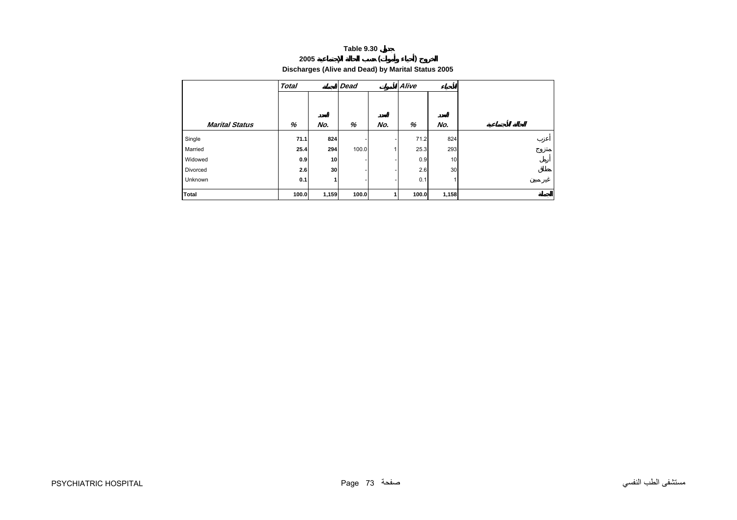# **2005 ( ) Discharges (Alive and Dead) by Marital Status 2005**

<span id="page-7-0"></span>

|                       | <b>Total</b> |       | <b>Dead</b> |     | Alive |       |  |
|-----------------------|--------------|-------|-------------|-----|-------|-------|--|
| <b>Marital Status</b> | %            | No.   | %           | No. | %     | No.   |  |
|                       |              |       |             |     |       |       |  |
| Single                | 71.1         | 824   |             |     | 71.2  | 824   |  |
| Married               | 25.4         | 294   | 100.0       |     | 25.3  | 293   |  |
| Widowed               | 0.9          | 10    |             |     | 0.9   | 10    |  |
| Divorced              | 2.6          | 30    |             |     | 2.6   | 30    |  |
| Unknown               | 0.1          | 1     |             |     | 0.1   | 1     |  |
| Total                 | 100.0        | 1,159 | 100.0       |     | 100.0 | 1,158 |  |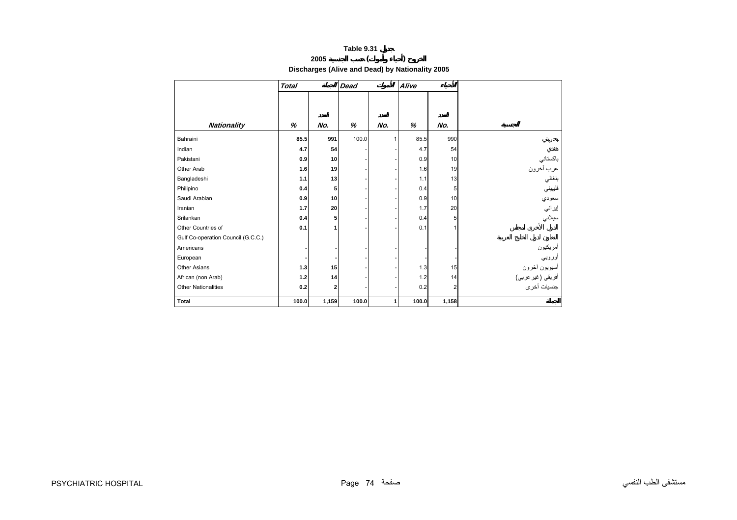# **2005 ( ) Discharges (Alive and Dead) by Nationality 2005**

<span id="page-8-0"></span>

|                                    | <b>Total</b> |       | <b>Dead</b> | Alive |       |       |                    |
|------------------------------------|--------------|-------|-------------|-------|-------|-------|--------------------|
|                                    |              |       |             |       |       |       |                    |
|                                    |              |       |             |       |       |       |                    |
| <b>Nationality</b>                 | %            | No.   | %           | No.   | %     | No.   |                    |
| Bahraini                           | 85.5         | 991   | 100.0       |       | 85.5  | 990   |                    |
| Indian                             | 4.7          | 54    |             |       | 4.7   | 54    |                    |
| Pakistani                          | 0.9          | 10    |             |       | 0.9   | 10    | باكستاني           |
| Other Arab                         | 1.6          | 19    |             |       | 1.6   | 19    | عرب أخرون          |
| Bangladeshi                        | 1.1          | 13    |             |       | 1.1   | 13    | بنغالي             |
| Philipino                          | 0.4          | 5     |             |       | 0.4   | 5     | فليبيني            |
| Saudi Arabian                      | 0.9          | 10    |             |       | 0.9   | 10    | سعودي              |
| Iranian                            | 1.7          | 20    |             |       | 1.7   | 20    | إيراني             |
| Srilankan                          | 0.4          | 5     |             |       | 0.4   | 5     | سيلاني             |
| Other Countries of                 | 0.1          | 1     |             |       | 0.1   | 1     |                    |
| Gulf Co-operation Council (G.C.C.) |              |       |             |       |       |       |                    |
| Americans                          |              |       |             |       |       |       | أمريكيون<br>أوروبي |
| European                           |              |       |             |       |       |       |                    |
| Other Asians                       | 1.3          | 15    |             |       | 1.3   | 15    | أسيويون أخرون      |
| African (non Arab)                 | 1.2          | 14    |             |       | 1.2   | 14    | أفريقي (غير عربي)  |
| <b>Other Nationalities</b>         | 0.2          | 2     |             |       | 0.2   | 2     | جنسيات أخرى        |
| <b>Total</b>                       | 100.0        | 1,159 | 100.0       | 1     | 100.0 | 1,158 |                    |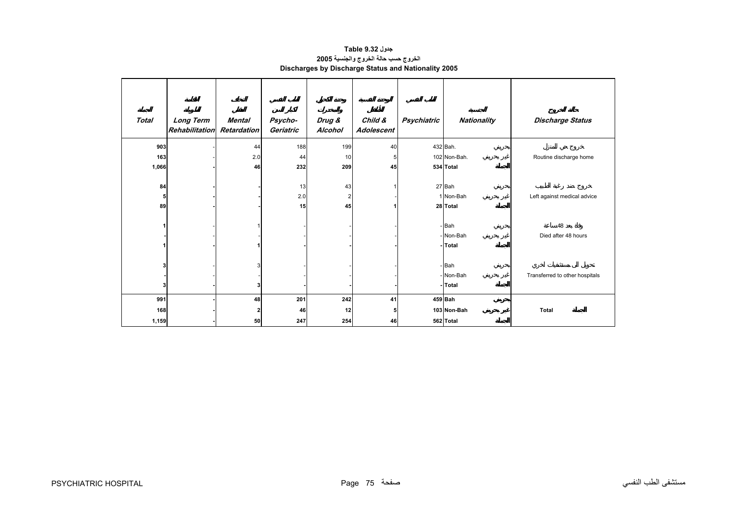### **جدول 9.32 Table الخروج حسب حالة الخروج والجنسية<sup>2005</sup> Discharges by Discharge Status and Nationality 2005**

<span id="page-9-0"></span>

| <b>Total</b> | Long Term<br><b>Rehabilitation</b> | Mental<br><b>Retardation</b> | Psycho-<br>Geriatric | Drug &<br>Alcohol | Child &<br>Adolescent | Psychiatric | Nationality  | <b>Discharge Status</b>        |
|--------------|------------------------------------|------------------------------|----------------------|-------------------|-----------------------|-------------|--------------|--------------------------------|
| 903          |                                    | 44                           | 188                  | 199               | 40                    |             | 432 Bah.     |                                |
| 163          |                                    | 2.0                          | 44                   | 10                | 5                     |             | 102 Non-Bah. | Routine discharge home         |
| 1,066        |                                    | 46                           | 232                  | 209               | 45                    |             | 534 Total    |                                |
| 84           |                                    |                              | 13                   | 43                |                       |             | 27 Bah       |                                |
| 5            |                                    |                              | 2.0                  | $\overline{2}$    |                       |             | 1 Non-Bah    | Left against medical advice    |
| 89           |                                    |                              | 15                   | 45                |                       |             | 28 Total     |                                |
|              |                                    |                              |                      |                   |                       |             |              |                                |
| 1            |                                    |                              |                      |                   |                       |             | - Bah        | 48                             |
|              |                                    |                              |                      |                   |                       |             | - Non-Bah    | Died after 48 hours            |
|              |                                    |                              |                      |                   |                       |             | -Total       |                                |
| 3            |                                    | 3                            |                      |                   |                       |             | - Bah        |                                |
|              |                                    |                              |                      |                   |                       |             | - Non-Bah    | Transferred to other hospitals |
| 3            |                                    | 3                            |                      |                   |                       |             | -Total       |                                |
| 991          |                                    |                              |                      |                   |                       |             | 459 Bah      |                                |
|              |                                    | 48                           | 201                  | 242               | 41                    |             |              |                                |
| 168          |                                    | $\mathbf{z}$                 | 46                   | 12                | 5                     |             | 103 Non-Bah  | Total                          |
| 1,159        |                                    | 50                           | 247                  | 254               | 46                    |             | 562 Total    |                                |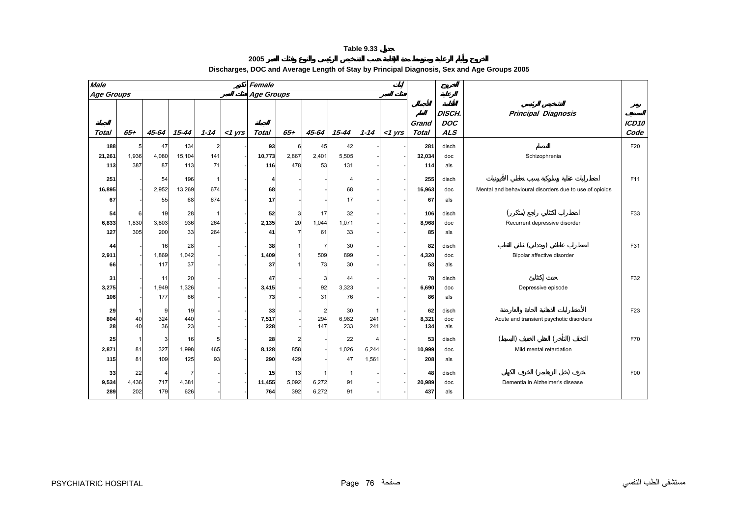| 2005 |  |  |  |
|------|--|--|--|

<span id="page-10-0"></span>

| <b>Male</b>       |              |             |           |          |           | Female            |                |                |             |          |           |                       |                                           |                                                        |                           |
|-------------------|--------------|-------------|-----------|----------|-----------|-------------------|----------------|----------------|-------------|----------|-----------|-----------------------|-------------------------------------------|--------------------------------------------------------|---------------------------|
| <b>Age Groups</b> |              |             |           |          |           | <b>Age Groups</b> |                |                |             |          |           |                       |                                           |                                                        |                           |
| <b>Total</b>      | $65 +$       | 45-64       | $15 - 44$ | $1 - 14$ | $<$ 1 yrs | <b>Total</b>      | $65+$          | $45 - 64$      | 15-44       | $1 - 14$ | $<$ 1 yrs | Grand<br><b>Total</b> | <b>DISCH.</b><br><b>DOC</b><br><b>ALS</b> | <b>Principal Diagnosis</b>                             | ICD <sub>10</sub><br>Code |
| 188               | 5            | 47          | 134       | 2        |           | 93                | 6              | 45             | 42          |          |           | 281                   | disch                                     |                                                        | F20                       |
| 21,261            | 1,936        | 4,080       | 15,104    | 141      |           | 10,773            | 2,867          | 2,401          | 5,505       |          |           | 32,034                | doc                                       | Schizophrenia                                          |                           |
| 113               | 387          | 87          | 113       | 71       |           | 116               | 478            | 53             | 131         |          |           | 114                   | als                                       |                                                        |                           |
| 251               |              | 54          | 196       |          |           | Δ                 |                |                | 4           |          |           | 255                   | disch                                     |                                                        | F11                       |
| 16,895            |              | 2,952       | 13,269    | 674      |           | 68                |                |                | 68          |          |           | 16,963                | doc                                       | Mental and behavioural disorders due to use of opioids |                           |
| 67                |              | 55          | 68        | 674      |           | 17                |                |                | 17          |          |           | 67                    | als                                       |                                                        |                           |
|                   |              |             |           |          |           |                   |                |                |             |          |           |                       |                                           |                                                        |                           |
| 54<br>6,833       | 6<br>1,830   | 19<br>3,803 | 28<br>936 | 264      |           | 52<br>2,135       | 3<br>20        | 17<br>1,044    | 32<br>1,071 |          |           | 106<br>8,968          | disch                                     |                                                        | F33                       |
| 127               | 305          | 200         | 33        | 264      |           | 41                | $\overline{7}$ | 61             | 33          |          |           | 85                    | doc<br>als                                | Recurrent depressive disorder                          |                           |
|                   |              |             |           |          |           |                   |                |                |             |          |           |                       |                                           |                                                        |                           |
| 44                |              | 16          | 28        |          |           | 38                | $\mathbf 1$    | -7             | 30          |          |           | 82                    | disch                                     |                                                        | F31                       |
| 2,911             |              | 1,869       | 1,042     |          |           | 1,409             | $\overline{1}$ | 509            | 899         |          |           | 4,320                 | doc                                       | Bipolar affective disorder                             |                           |
| 66                |              | 117         | 37        |          |           | 37                |                | 73             | 30          |          |           | 53                    | als                                       |                                                        |                           |
| 31                |              | 11          | 20        |          |           | 47                |                | 3              | 44          |          |           | 78                    | disch                                     |                                                        | F32                       |
| 3,275             |              | 1,949       | 1,326     |          |           | 3,415             |                | 92             | 3,323       |          |           | 6,690                 | doc                                       | Depressive episode                                     |                           |
| 106               |              | 177         | 66        |          |           | 73                |                | 31             | 76          |          |           | 86                    | als                                       |                                                        |                           |
| 29                | $\mathbf 1$  | 9           | 19        |          |           | 33                |                | $\overline{2}$ | 30          | 1        |           | 62                    | disch                                     |                                                        | F <sub>23</sub>           |
| 804               | 40           | 324         | 440       |          |           | 7,517             |                | 294            | 6,982       | 241      |           | 8,321                 | doc                                       | Acute and transient psychotic disorders                |                           |
| 28                | 40           | 36          | 23        |          |           | 228               |                | 147            | 233         | 241      |           | 134                   | als                                       |                                                        |                           |
| 25                | $\mathbf{1}$ | 3           | 16        | 5        |           | 28                | $\overline{2}$ |                | 22          | 4        |           | 53                    | disch                                     |                                                        | F70                       |
| 2,871             | 81           | 327         | 1,998     | 465      |           | 8,128             | 858            |                | 1,026       | 6,244    |           | 10,999                | doc                                       | Mild mental retardation                                |                           |
| 115               | 81           | 109         | 125       | 93       |           | 290               | 429            |                | 47          | 1,561    |           | 208                   | als                                       |                                                        |                           |
| 33                | 22           | 4           | 7         |          |           | 15                | 13             | -1             | -1          |          |           | 48                    | disch                                     |                                                        | F00                       |
| 9,534             | 4,436        | 717         | 4,381     |          |           | 11,455            | 5,092          | 6,272          | 91          |          |           | 20,989                | doc                                       | Dementia in Alzheimer's disease                        |                           |
| 289               | 202          | 179         | 626       |          |           | 764               | 392            | 6,272          | 91          |          |           | 437                   | als                                       |                                                        |                           |

# **Discharges, DOC and Average Length of Stay by Principal Diagnosis, Sex and Age Groups 2005**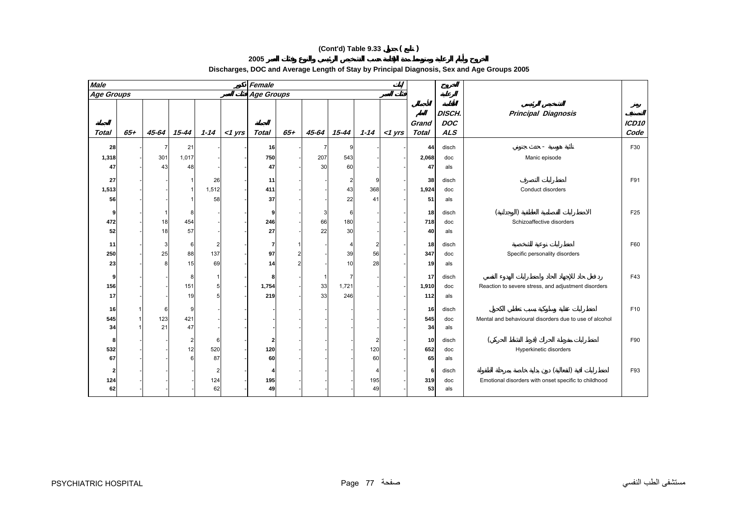# **(Cont'd) Table 9.33 ( )**

**2005** 

# **Discharges, DOC and Average Length of Stay by Principal Diagnosis, Sex and Age Groups 2005**

| <b>Male</b>           |        |             |           |           |           | Female            |        |           |                |           |           |                       |                                           |                                                        |                 |
|-----------------------|--------|-------------|-----------|-----------|-----------|-------------------|--------|-----------|----------------|-----------|-----------|-----------------------|-------------------------------------------|--------------------------------------------------------|-----------------|
| <b>Age Groups</b>     |        |             |           |           |           | <b>Age Groups</b> |        |           |                |           |           |                       |                                           |                                                        |                 |
| <b>Total</b>          | $65 +$ | 45-64       | $15 - 44$ | $1 - 14$  | $<$ 1 yrs | <b>Total</b>      | $65 +$ | $45 - 64$ | $15 - 44$      | $1 - 14$  | $<$ 1 yrs | Grand<br><b>Total</b> | <b>DISCH.</b><br><b>DOC</b><br><b>ALS</b> | <b>Principal Diagnosis</b>                             | ICD10<br>Code   |
| 28                    |        | 7           | 21        |           |           | 16                |        | -7        | 9              |           |           | 44                    | disch                                     |                                                        | F30             |
| 1,318                 |        | 301         | 1,017     |           |           | 750               |        | 207       | 543            |           |           | 2,068                 | doc                                       | Manic episode                                          |                 |
| 47                    |        | 43          | 48        |           |           | 47                |        | 30        | 60             |           |           | 47                    | als                                       |                                                        |                 |
| 27                    |        |             |           | 26        |           | 11                |        |           | $\overline{a}$ | 9         |           | 38                    | disch                                     |                                                        | F91             |
| 1,513                 |        |             |           | 1,512     |           | 411               |        |           | 43             | 368       |           | 1,924                 | doc                                       | Conduct disorders                                      |                 |
| 56                    |        |             |           | 58        |           | 37                |        |           | 22             | 41        |           | 51                    | als                                       |                                                        |                 |
| 9                     |        | $\mathbf 1$ | 8         |           |           | g                 |        | 3         | 6              |           |           | 18                    | disch                                     |                                                        | F <sub>25</sub> |
| 472                   |        | 18          | 454       |           |           | 246               |        | 66        | 180            |           |           | 718                   | doc                                       | Schizoaffective disorders                              |                 |
| 52                    |        | 18          | 57        |           |           | 27                |        | 22        | 30             |           |           | 40                    | als                                       |                                                        |                 |
| 11                    |        | 3           | 6         | 2         |           | -7                |        |           | $\overline{4}$ | 2         |           | 18                    | disch                                     |                                                        | F60             |
| 250                   |        | 25          | 88        | 137       |           | 97                |        |           | 39             | 56        |           | 347                   | doc                                       | Specific personality disorders                         |                 |
| 23                    |        | 8           | 15        | 69        |           | 14                | 2      |           | 10             | 28        |           | 19                    | als                                       |                                                        |                 |
| 9                     |        |             | 8         |           |           | 8                 |        |           | 7              |           |           | 17                    | disch                                     |                                                        | F43             |
| 156                   |        |             | 151       | 5         |           | 1,754             |        | 33        | 1,721          |           |           | 1,910                 | doc                                       | Reaction to severe stress, and adjustment disorders    |                 |
| 17                    |        |             | 19        |           |           | 219               |        | 33        | 246            |           |           | 112                   | als                                       |                                                        |                 |
| 16                    |        | 6           | 9         |           |           |                   |        |           |                |           |           | 16                    | disch                                     |                                                        | F10             |
| 545                   |        | 123         | 421       |           |           |                   |        |           |                |           |           | 545                   | doc                                       | Mental and behavioural disorders due to use of alcohol |                 |
| 34                    |        | 21          | 47        |           |           |                   |        |           |                |           |           | 34                    | als                                       |                                                        |                 |
| -8                    |        |             | 2         | 6         |           | 2                 |        |           |                | 2         |           | 10                    | disch                                     |                                                        | F90             |
| 532<br>67             |        |             | 12<br>6   | 520<br>87 |           | 120<br>60         |        |           |                | 120<br>60 |           | 652<br>65             | doc<br>als                                | Hyperkinetic disorders                                 |                 |
|                       |        |             |           |           |           |                   |        |           |                |           |           |                       |                                           |                                                        |                 |
| $\overline{2}$<br>124 |        |             |           | 2<br>124  |           | 4<br>195          |        |           |                | 4<br>195  |           | 6<br>319              | disch<br>doc                              | Emotional disorders with onset specific to childhood   | F93             |
| 62                    |        |             |           | 62        |           | 49                |        |           |                | 49        |           | 53                    | als                                       |                                                        |                 |
|                       |        |             |           |           |           |                   |        |           |                |           |           |                       |                                           |                                                        |                 |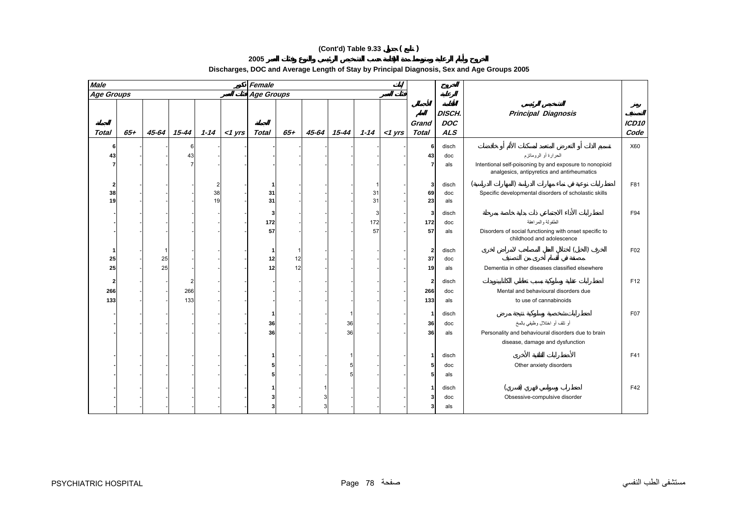# **(Cont'd) Table 9.33 ( )**

**2005** 

# **Discharges, DOC and Average Length of Stay by Principal Diagnosis, Sex and Age Groups 2005**

| <b>Male</b>       | Female |       |                |          |           |                   |       |       |       |     |               |                       |                                    |                                                                                                        |               |
|-------------------|--------|-------|----------------|----------|-----------|-------------------|-------|-------|-------|-----|---------------|-----------------------|------------------------------------|--------------------------------------------------------------------------------------------------------|---------------|
| <b>Age Groups</b> |        |       |                |          |           | <b>Age Groups</b> |       |       |       |     |               |                       |                                    |                                                                                                        |               |
| <b>Total</b>      | $65 +$ | 45-64 | 15-44          | $1 - 14$ | $<$ 1 yrs | Total             | $65+$ | 45-64 | 15-44 |     | $1-14$ <1 yrs | Grand<br><b>Total</b> | <b>DISCH.</b><br><b>DOC</b><br>ALS | <b>Principal Diagnosis</b>                                                                             | ICD10<br>Code |
| -6                |        |       | 6              |          |           |                   |       |       |       |     |               | 6                     | disch                              |                                                                                                        | X60           |
| 43                |        |       | 43             |          |           |                   |       |       |       |     |               | 43                    | doc                                | الحرارة أو الروماتزم                                                                                   |               |
| 7                 |        |       | $\overline{7}$ |          |           |                   |       |       |       |     |               | 7                     | als                                | Intentional self-poisoning by and exposure to nonopioid<br>analgesics, antipyretics and antirheumatics |               |
| $\mathbf{2}$      |        |       |                |          |           | 1                 |       |       |       | -1  |               | 3                     | disch                              |                                                                                                        | F81           |
| 38                |        |       |                | 38       |           | 31                |       |       |       | 31  |               | 69                    | doc                                | Specific developmental disorders of scholastic skills                                                  |               |
| 19                |        |       |                | 19       |           | 31                |       |       |       | 31  |               | 23                    | als                                |                                                                                                        |               |
|                   |        |       |                |          |           | 3                 |       |       |       | 3   |               | 3                     | disch                              |                                                                                                        | F94           |
|                   |        |       |                |          |           | 172               |       |       |       | 172 |               | 172                   | doc                                | الطفولة والمراهقة                                                                                      |               |
|                   |        |       |                |          |           | 57                |       |       |       | 57  |               | 57                    | als                                | Disorders of social functioning with onset specific to<br>childhood and adolescence                    |               |
| -1                |        |       |                |          |           | -1                |       |       |       |     |               | $\overline{2}$        | disch                              |                                                                                                        | F02           |
| 25                |        | 25    |                |          |           | 12                | 12    |       |       |     |               | 37                    | doc                                |                                                                                                        |               |
| 25                |        | 25    |                |          |           | 12                | 12    |       |       |     |               | 19                    | als                                | Dementia in other diseases classified elsewhere                                                        |               |
| $\overline{2}$    |        |       | $\overline{2}$ |          |           |                   |       |       |       |     |               | $\overline{2}$        | disch                              |                                                                                                        | F12           |
| 266               |        |       | 266            |          |           |                   |       |       |       |     |               | 266                   | doc                                | Mental and behavioural disorders due                                                                   |               |
| 133               |        |       | 133            |          |           |                   |       |       |       |     |               | 133                   | als                                | to use of cannabinoids                                                                                 |               |
|                   |        |       |                |          |           | -1                |       |       |       |     |               | -1                    | disch                              |                                                                                                        | F07           |
|                   |        |       |                |          |           | 36                |       |       | 36    |     |               | 36                    | doc                                | أو نلف أو اختلال وظيفي بالمخ                                                                           |               |
|                   |        |       |                |          |           | 36                |       |       | 36    |     |               | 36                    | als                                | Personality and behavioural disorders due to brain                                                     |               |
|                   |        |       |                |          |           |                   |       |       |       |     |               |                       |                                    | disease, damage and dysfunction                                                                        |               |
|                   |        |       |                |          |           |                   |       |       |       |     |               | 1                     | disch                              |                                                                                                        | F41           |
|                   |        |       |                |          |           |                   |       |       |       |     |               | 5                     | doc                                | Other anxiety disorders                                                                                |               |
|                   |        |       |                |          |           |                   |       |       |       |     |               | 5                     | als                                |                                                                                                        |               |
|                   |        |       |                |          |           |                   |       |       |       |     |               |                       |                                    |                                                                                                        |               |
|                   |        |       |                |          |           |                   |       |       |       |     |               | 1<br>3                | disch                              |                                                                                                        | F42           |
|                   |        |       |                |          |           |                   |       | p     |       |     |               | 3                     | doc                                | Obsessive-compulsive disorder                                                                          |               |
|                   |        |       |                |          |           |                   |       |       |       |     |               |                       | als                                |                                                                                                        |               |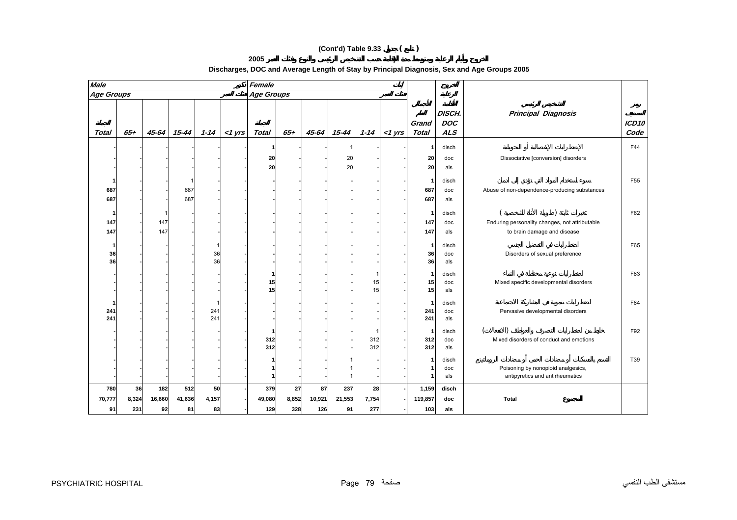# **(Cont'd) Table 9.33 ( )**

**2005** 

| Discharges, DOC and Average Length of Stay by Principal Diagnosis, Sex and Age Groups 2005 |
|--------------------------------------------------------------------------------------------|
|--------------------------------------------------------------------------------------------|

| <b>Male</b>         |                    |                            |                     |                   |           | Female               |                    |                     |                     |                    |           |                         |                                    |                                                                               |                           |
|---------------------|--------------------|----------------------------|---------------------|-------------------|-----------|----------------------|--------------------|---------------------|---------------------|--------------------|-----------|-------------------------|------------------------------------|-------------------------------------------------------------------------------|---------------------------|
| Age Groups          |                    |                            |                     |                   |           | Age Groups           |                    |                     |                     |                    |           |                         |                                    |                                                                               |                           |
| Total               | $65 +$             | 45-64                      | 15-44               | $1 - 14$          | $<$ 1 yrs | <b>Total</b>         | $65+$              | 45-64               | 15-44               | $1 - 14$           | $<$ 1 yrs | Grand<br><b>Total</b>   | DISCH.<br><b>DOC</b><br><b>ALS</b> | <b>Principal Diagnosis</b>                                                    | ICD <sub>10</sub><br>Code |
|                     |                    |                            |                     |                   |           | 20<br>20             |                    |                     | 20<br>20            |                    |           | -1<br>20<br>20          | disch<br>doc<br>als                | Dissociative [conversion] disorders                                           | F44                       |
| 687<br>687          |                    |                            | 687<br>687          |                   |           |                      |                    |                     |                     |                    |           | 1<br>687<br>687         | disch<br>doc<br>als                | Abuse of non-dependence-producing substances                                  | F <sub>55</sub>           |
| -1<br>147<br>147    |                    | $\mathbf{1}$<br>147<br>147 |                     |                   |           |                      |                    |                     |                     |                    |           | -1<br>147<br>147        | disch<br>doc<br>als                | Enduring personality changes, not attributable<br>to brain damage and disease | F62                       |
| 36<br>36            |                    |                            |                     | 36<br>36          |           |                      |                    |                     |                     |                    |           | 1<br>36<br>36           | disch<br>doc<br>als                | Disorders of sexual preference                                                | F65                       |
|                     |                    |                            |                     |                   |           | 1<br>15<br>15        |                    |                     |                     | 1<br>15<br>15      |           | -1<br>15<br>15          | disch<br>doc<br>als                | Mixed specific developmental disorders                                        | F83                       |
| 241<br>241          |                    |                            |                     | 241<br>241        |           |                      |                    |                     |                     |                    |           | -1<br>241<br>241        | disch<br>doc<br>als                | Pervasive developmental disorders                                             | F84                       |
|                     |                    |                            |                     |                   |           | 312<br>312           |                    |                     |                     | 1<br>312<br>312    |           | -1<br>312<br>312        | disch<br>doc<br>als                | Mixed disorders of conduct and emotions                                       | F92                       |
|                     |                    |                            |                     |                   |           |                      |                    |                     |                     |                    |           | 1<br>1<br>٠             | disch<br>doc<br>als                | Poisoning by nonopioid analgesics,<br>antipyretics and antirheumatics         | T39                       |
| 780<br>70,777<br>91 | 36<br>8,324<br>231 | 182<br>16,660<br>92        | 512<br>41,636<br>81 | 50<br>4,157<br>83 |           | 379<br>49,080<br>129 | 27<br>8,852<br>328 | 87<br>10,921<br>126 | 237<br>21,553<br>91 | 28<br>7,754<br>277 |           | 1,159<br>119,857<br>103 | disch<br>doc<br>als                | <b>Total</b>                                                                  |                           |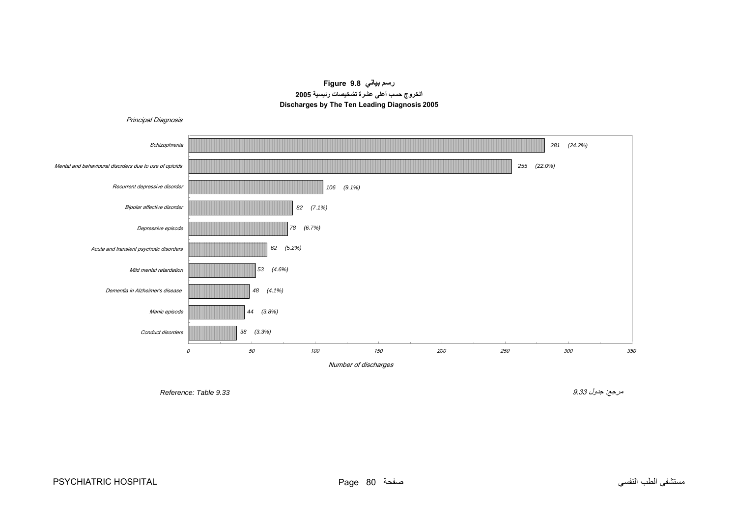**رسم بياني 9.8 Figure الخروج حسب أعلى عشرة تشخيصات رئيسية <sup>2005</sup> Discharges by The Ten Leading Diagnosis 2005**

<span id="page-14-0"></span>

مستشفى الطب النفسي صفحة 80 Page HOSPITAL PSYCHIATRIC